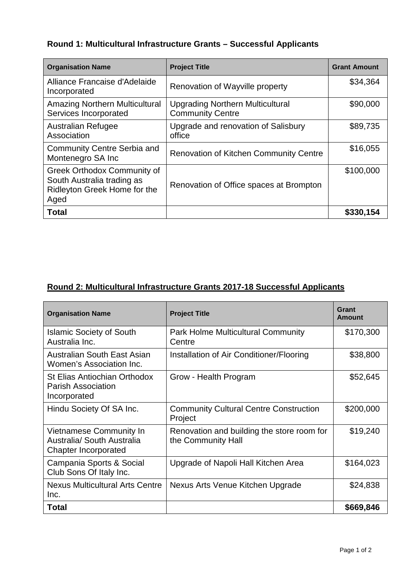## **Round 1: Multicultural Infrastructure Grants – Successful Applicants**

| <b>Organisation Name</b>                                                                                 | <b>Project Title</b>                                               | <b>Grant Amount</b> |
|----------------------------------------------------------------------------------------------------------|--------------------------------------------------------------------|---------------------|
| Alliance Francaise d'Adelaide<br>Incorporated                                                            | Renovation of Wayville property                                    | \$34,364            |
| <b>Amazing Northern Multicultural</b><br>Services Incorporated                                           | <b>Upgrading Northern Multicultural</b><br><b>Community Centre</b> | \$90,000            |
| <b>Australian Refugee</b><br>Association                                                                 | Upgrade and renovation of Salisbury<br>office                      | \$89,735            |
| <b>Community Centre Serbia and</b><br>Montenegro SA Inc                                                  | <b>Renovation of Kitchen Community Centre</b>                      | \$16,055            |
| <b>Greek Orthodox Community of</b><br>South Australia trading as<br>Ridleyton Greek Home for the<br>Aged | Renovation of Office spaces at Brompton                            | \$100,000           |
| <b>Total</b>                                                                                             |                                                                    | \$330,154           |

## **Round 2: Multicultural Infrastructure Grants 2017-18 Successful Applicants**

| <b>Organisation Name</b>                                                      | <b>Project Title</b>                                             | Grant<br>Amount |
|-------------------------------------------------------------------------------|------------------------------------------------------------------|-----------------|
| <b>Islamic Society of South</b><br>Australia Inc.                             | <b>Park Holme Multicultural Community</b><br>Centre              | \$170,300       |
| Australian South East Asian<br>Women's Association Inc.                       | Installation of Air Conditioner/Flooring                         | \$38,800        |
| <b>St Elias Antiochian Orthodox</b><br>Parish Association<br>Incorporated     | Grow - Health Program                                            | \$52,645        |
| Hindu Society Of SA Inc.                                                      | <b>Community Cultural Centre Construction</b><br>Project         | \$200,000       |
| Vietnamese Community In<br>Australia/ South Australia<br>Chapter Incorporated | Renovation and building the store room for<br>the Community Hall | \$19,240        |
| Campania Sports & Social<br>Club Sons Of Italy Inc.                           | Upgrade of Napoli Hall Kitchen Area                              | \$164,023       |
| <b>Nexus Multicultural Arts Centre</b><br>Inc.                                | Nexus Arts Venue Kitchen Upgrade                                 | \$24,838        |
| <b>Total</b>                                                                  |                                                                  | \$669,846       |